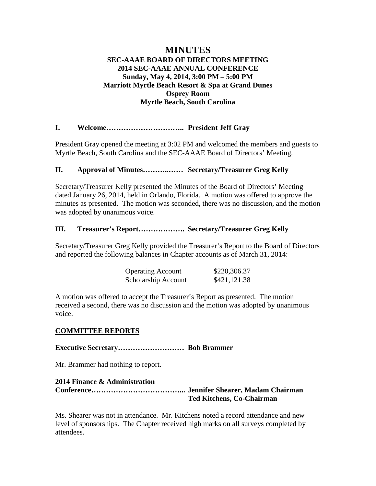# **MINUTES SEC-AAAE BOARD OF DIRECTORS MEETING 2014 SEC-AAAE ANNUAL CONFERENCE Sunday, May 4, 2014, 3:00 PM – 5:00 PM Marriott Myrtle Beach Resort & Spa at Grand Dunes Osprey Room Myrtle Beach, South Carolina**

# **I. Welcome………………………….. President Jeff Gray**

President Gray opened the meeting at 3:02 PM and welcomed the members and guests to Myrtle Beach, South Carolina and the SEC-AAAE Board of Directors' Meeting.

### **II. Approval of Minutes………..…… Secretary/Treasurer Greg Kelly**

Secretary/Treasurer Kelly presented the Minutes of the Board of Directors' Meeting dated January 26, 2014, held in Orlando, Florida. A motion was offered to approve the minutes as presented. The motion was seconded, there was no discussion, and the motion was adopted by unanimous voice.

### **III. Treasurer's Report………………. Secretary/Treasurer Greg Kelly**

Secretary/Treasurer Greg Kelly provided the Treasurer's Report to the Board of Directors and reported the following balances in Chapter accounts as of March 31, 2014:

| <b>Operating Account</b> | \$220,306.37 |
|--------------------------|--------------|
| Scholarship Account      | \$421,121.38 |

A motion was offered to accept the Treasurer's Report as presented. The motion received a second, there was no discussion and the motion was adopted by unanimous voice.

### **COMMITTEE REPORTS**

**Executive Secretary……………………… Bob Brammer**

Mr. Brammer had nothing to report.

# **2014 Finance & Administration Conference………………………………... Jennifer Shearer, Madam Chairman Ted Kitchens, Co-Chairman**

Ms. Shearer was not in attendance. Mr. Kitchens noted a record attendance and new level of sponsorships. The Chapter received high marks on all surveys completed by attendees.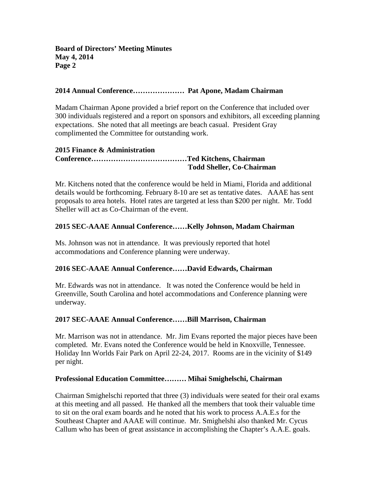# **2014 Annual Conference………………… Pat Apone, Madam Chairman**

Madam Chairman Apone provided a brief report on the Conference that included over 300 individuals registered and a report on sponsors and exhibitors, all exceeding planning expectations. She noted that all meetings are beach casual. President Gray complimented the Committee for outstanding work.

#### **2015 Finance & Administration Conference…………………………………Ted Kitchens, Chairman Todd Sheller, Co-Chairman**

Mr. Kitchens noted that the conference would be held in Miami, Florida and additional details would be forthcoming. February 8-10 are set as tentative dates. AAAE has sent proposals to area hotels. Hotel rates are targeted at less than \$200 per night. Mr. Todd Sheller will act as Co-Chairman of the event.

# **2015 SEC-AAAE Annual Conference……Kelly Johnson, Madam Chairman**

Ms. Johnson was not in attendance. It was previously reported that hotel accommodations and Conference planning were underway.

### **2016 SEC-AAAE Annual Conference……David Edwards, Chairman**

Mr. Edwards was not in attendance. It was noted the Conference would be held in Greenville, South Carolina and hotel accommodations and Conference planning were underway.

### **2017 SEC-AAAE Annual Conference……Bill Marrison, Chairman**

Mr. Marrison was not in attendance. Mr. Jim Evans reported the major pieces have been completed. Mr. Evans noted the Conference would be held in Knoxville, Tennessee. Holiday Inn Worlds Fair Park on April 22-24, 2017. Rooms are in the vicinity of \$149 per night.

### **Professional Education Committee……… Mihai Smighelschi, Chairman**

Chairman Smighelschi reported that three (3) individuals were seated for their oral exams at this meeting and all passed. He thanked all the members that took their valuable time to sit on the oral exam boards and he noted that his work to process A.A.E.s for the Southeast Chapter and AAAE will continue. Mr. Smighelshi also thanked Mr. Cycus Callum who has been of great assistance in accomplishing the Chapter's A.A.E. goals.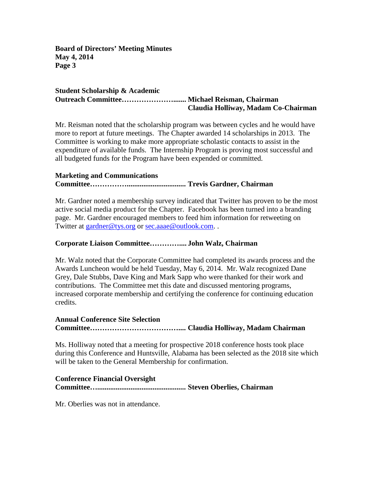**Board of Directors' Meeting Minutes May 4, 2014 Page 3**

#### **Student Scholarship & Academic Outreach Committee…………………....... Michael Reisman, Chairman Claudia Holliway, Madam Co-Chairman**

Mr. Reisman noted that the scholarship program was between cycles and he would have more to report at future meetings. The Chapter awarded 14 scholarships in 2013. The Committee is working to make more appropriate scholastic contacts to assist in the expenditure of available funds. The Internship Program is proving most successful and all budgeted funds for the Program have been expended or committed.

### **Marketing and Communications**

# **Committee……………................................ Trevis Gardner, Chairman**

Mr. Gardner noted a membership survey indicated that Twitter has proven to be the most active social media product for the Chapter. Facebook has been turned into a branding page. Mr. Gardner encouraged members to feed him information for retweeting on Twitter at [gardner@tys.org](mailto:gardner@tys.org) or [sec.aaae@outlook.com.](mailto:sec.aaae@outlook.com).

#### **Corporate Liaison Committee………….... John Walz, Chairman**

Mr. Walz noted that the Corporate Committee had completed its awards process and the Awards Luncheon would be held Tuesday, May 6, 2014. Mr. Walz recognized Dane Grey, Dale Stubbs, Dave King and Mark Sapp who were thanked for their work and contributions. The Committee met this date and discussed mentoring programs, increased corporate membership and certifying the conference for continuing education credits.

# **Annual Conference Site Selection Committee……………………………….... Claudia Holliway, Madam Chairman**

Ms. Holliway noted that a meeting for prospective 2018 conference hosts took place during this Conference and Huntsville, Alabama has been selected as the 2018 site which will be taken to the General Membership for confirmation.

#### **Conference Financial Oversight Committee…................................................ Steven Oberlies, Chairman**

Mr. Oberlies was not in attendance.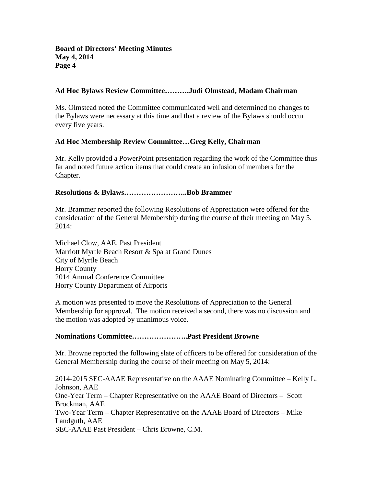## **Ad Hoc Bylaws Review Committee……….Judi Olmstead, Madam Chairman**

Ms. Olmstead noted the Committee communicated well and determined no changes to the Bylaws were necessary at this time and that a review of the Bylaws should occur every five years.

# **Ad Hoc Membership Review Committee…Greg Kelly, Chairman**

Mr. Kelly provided a PowerPoint presentation regarding the work of the Committee thus far and noted future action items that could create an infusion of members for the Chapter.

# **Resolutions & Bylaws……………………..Bob Brammer**

Mr. Brammer reported the following Resolutions of Appreciation were offered for the consideration of the General Membership during the course of their meeting on May 5. 2014:

Michael Clow, AAE, Past President Marriott Myrtle Beach Resort & Spa at Grand Dunes City of Myrtle Beach Horry County 2014 Annual Conference Committee Horry County Department of Airports

A motion was presented to move the Resolutions of Appreciation to the General Membership for approval. The motion received a second, there was no discussion and the motion was adopted by unanimous voice.

### **Nominations Committee…………………..Past President Browne**

Mr. Browne reported the following slate of officers to be offered for consideration of the General Membership during the course of their meeting on May 5, 2014:

2014-2015 SEC-AAAE Representative on the AAAE Nominating Committee – Kelly L. Johnson, AAE One-Year Term – Chapter Representative on the AAAE Board of Directors – Scott Brockman, AAE Two-Year Term – Chapter Representative on the AAAE Board of Directors – Mike Landguth, AAE SEC-AAAE Past President – Chris Browne, C.M.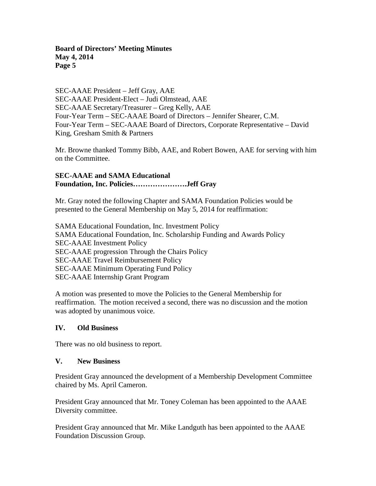**Board of Directors' Meeting Minutes May 4, 2014 Page 5**

SEC-AAAE President – Jeff Gray, AAE SEC-AAAE President-Elect – Judi Olmstead, AAE SEC-AAAE Secretary/Treasurer – Greg Kelly, AAE Four-Year Term – SEC-AAAE Board of Directors – Jennifer Shearer, C.M. Four-Year Term – SEC-AAAE Board of Directors, Corporate Representative – David King, Gresham Smith & Partners

Mr. Browne thanked Tommy Bibb, AAE, and Robert Bowen, AAE for serving with him on the Committee.

# **SEC-AAAE and SAMA Educational Foundation, Inc. Policies………………….Jeff Gray**

Mr. Gray noted the following Chapter and SAMA Foundation Policies would be presented to the General Membership on May 5, 2014 for reaffirmation:

SAMA Educational Foundation, Inc. Investment Policy SAMA Educational Foundation, Inc. Scholarship Funding and Awards Policy SEC-AAAE Investment Policy SEC-AAAE progression Through the Chairs Policy SEC-AAAE Travel Reimbursement Policy SEC-AAAE Minimum Operating Fund Policy SEC-AAAE Internship Grant Program

A motion was presented to move the Policies to the General Membership for reaffirmation. The motion received a second, there was no discussion and the motion was adopted by unanimous voice.

### **IV. Old Business**

There was no old business to report.

#### **V. New Business**

President Gray announced the development of a Membership Development Committee chaired by Ms. April Cameron.

President Gray announced that Mr. Toney Coleman has been appointed to the AAAE Diversity committee.

President Gray announced that Mr. Mike Landguth has been appointed to the AAAE Foundation Discussion Group.